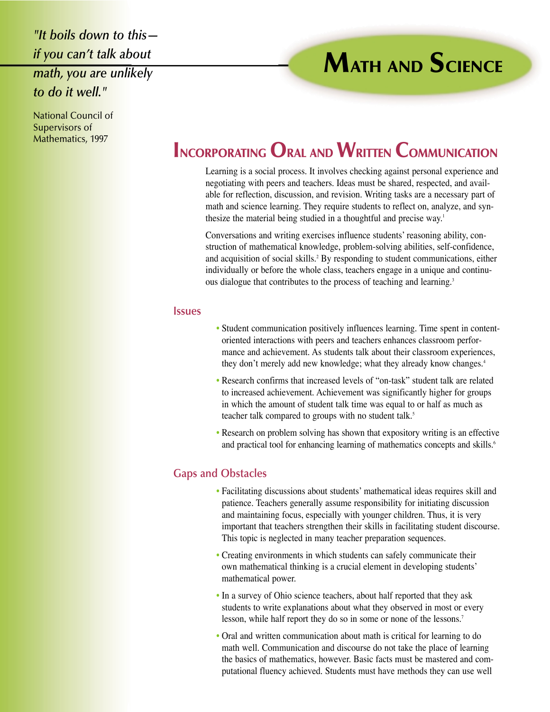*"It boils down to this if you can't talk about math, you are unlikely to do it well."*

### National Council of Supervisors of Mathematics, 1997

# **INCORPORATING ORAL AND WRITTEN COMMUNICATION**

Learning is a social process. It involves checking against personal experience and negotiating with peers and teachers. Ideas must be shared, respected, and available for reflection, discussion, and revision. Writing tasks are a necessary part of math and science learning. They require students to reflect on, analyze, and synthesize the material being studied in a thoughtful and precise way.<sup>1</sup>

**MATH AND SCIENCE**

Conversations and writing exercises influence students' reasoning ability, construction of mathematical knowledge, problem-solving abilities, self-confidence, and acquisition of social skills.<sup>2</sup> By responding to student communications, either individually or before the whole class, teachers engage in a unique and continuous dialogue that contributes to the process of teaching and learning.<sup>3</sup>

### **Issues**

- Student communication positively influences learning. Time spent in contentoriented interactions with peers and teachers enhances classroom performance and achievement. As students talk about their classroom experiences, they don't merely add new knowledge; what they already know changes.<sup>4</sup>
- Research confirms that increased levels of "on-task" student talk are related to increased achievement. Achievement was significantly higher for groups in which the amount of student talk time was equal to or half as much as teacher talk compared to groups with no student talk.<sup>5</sup>
- Research on problem solving has shown that expository writing is an effective and practical tool for enhancing learning of mathematics concepts and skills.<sup>6</sup>

## **Gaps and Obstacles**

- Facilitating discussions about students' mathematical ideas requires skill and patience. Teachers generally assume responsibility for initiating discussion and maintaining focus, especially with younger children. Thus, it is very important that teachers strengthen their skills in facilitating student discourse. This topic is neglected in many teacher preparation sequences.
- Creating environments in which students can safely communicate their own mathematical thinking is a crucial element in developing students' mathematical power.
- In a survey of Ohio science teachers, about half reported that they ask students to write explanations about what they observed in most or every lesson, while half report they do so in some or none of the lessons.<sup>7</sup>
- Oral and written communication about math is critical for learning to do math well. Communication and discourse do not take the place of learning the basics of mathematics, however. Basic facts must be mastered and computational fluency achieved. Students must have methods they can use well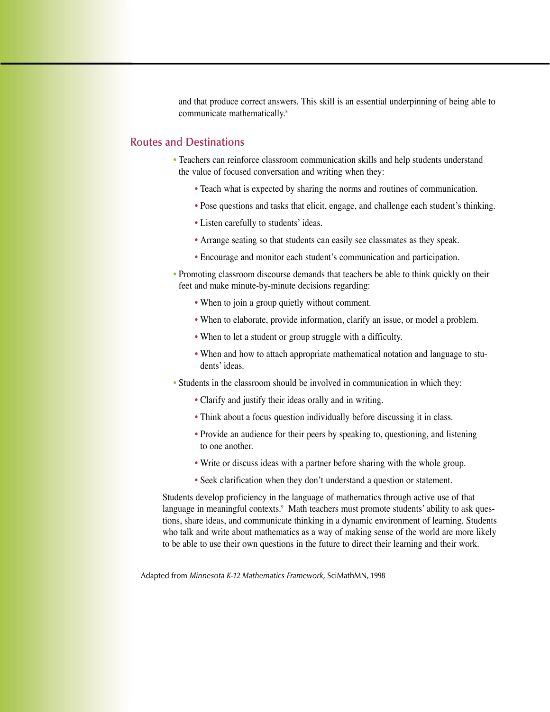and that produce correct answers. This skill is an essential underpinning of being able to communicate mathematically.<sup>8</sup>

## **Routes and Destinations**

- Teachers can reinforce classroom communication skills and help students understand the value of focused conversation and writing when they:
	- Teach what is expected by sharing the norms and routines of communication.
	- Pose questions and tasks that elicit, engage, and challenge each student's thinking.
	- Listen carefully to students' ideas.
	- Arrange seating so that students can easily see classmates as they speak.
	- Encourage and monitor each student's communication and participation.
- Promoting classroom discourse demands that teachers be able to think quickly on their feet and make minute-by-minute decisions regarding:
	- When to join a group quietly without comment.
	- When to elaborate, provide information, clarify an issue, or model a problem.
	- When to let a student or group struggle with a difficulty.
	- When and how to attach appropriate mathematical notation and language to students' ideas.
- Students in the classroom should be involved in communication in which they:
	- Clarify and justify their ideas orally and in writing.
	- Think about a focus question individually before discussing it in class.
	- Provide an audience for their peers by speaking to, questioning, and listening to one another.
	- Write or discuss ideas with a partner before sharing with the whole group.
	- Seek clarification when they don't understand a question or statement.

Students develop proficiency in the language of mathematics through active use of that language in meaningful contexts.<sup>9</sup> Math teachers must promote students' ability to ask questions, share ideas, and communicate thinking in a dynamic environment of learning. Students who talk and write about mathematics as a way of making sense of the world are more likely to be able to use their own questions in the future to direct their learning and their work.

Adapted from *Minnesota K-12 Mathematics Framework,* SciMathMN, 1998